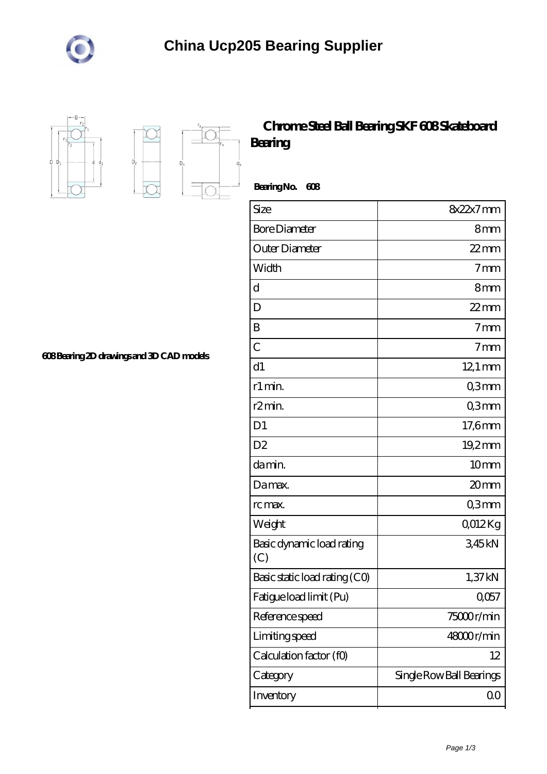



 $D<sub>2</sub>$ 

 $D_{a}$ 

## **[Chrome Steel Ball Bearing SKF 608 Skateboard](https://m.megliogratis.com/skf-608-bearing/827966.html) [Bearing](https://m.megliogratis.com/skf-608-bearing/827966.html)**

 **Bearing No. 608**

| Size                             | $8x22x7$ mm              |
|----------------------------------|--------------------------|
| <b>Bore Diameter</b>             | 8mm                      |
| Outer Diameter                   | $22$ mm                  |
| Width                            | 7 <sub>mm</sub>          |
| $\mathbf d$                      | 8mm                      |
| D                                | $22$ mm                  |
| B                                | 7 <sub>mm</sub>          |
| $\overline{C}$                   | 7 <sub>mm</sub>          |
| d1                               | $12.1 \text{ mm}$        |
| r1 min.                          | Q3mm                     |
| r <sub>2</sub> min.              | Q3mm                     |
| D <sub>1</sub>                   | 17,6mm                   |
| D <sub>2</sub>                   | 19,2mm                   |
| da min.                          | 10mm                     |
| Damax.                           | 20mm                     |
| rc max.                          | Q3mm                     |
| Weight                           | QO12Kg                   |
| Basic dynamic load rating<br>(C) | 345kN                    |
| Basic static load rating (CO)    | 1,37kN                   |
| Fatigue load limit (Pu)          | Q057                     |
| Reference speed                  | 75000r/min               |
| Limiting speed                   | $48000$ r/min            |
| Calculation factor (f0)          | 12                       |
| Category                         | Single Row Ball Bearings |
| Inventory                        | 00                       |

**[608 Bearing 2D drawings and 3D CAD models](https://m.megliogratis.com/pic-827966.html)**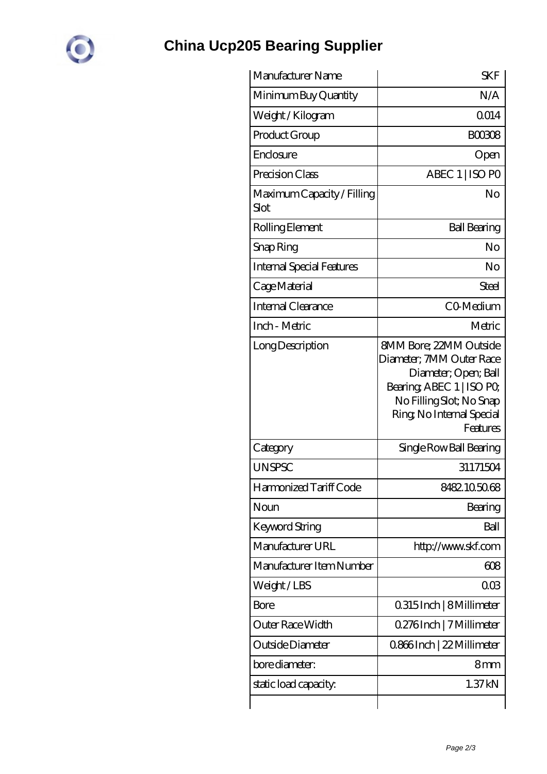

## **[China Ucp205 Bearing Supplier](https://m.megliogratis.com)**

| Manufacturer Name                  | <b>SKF</b>                                                                                                                                                                          |
|------------------------------------|-------------------------------------------------------------------------------------------------------------------------------------------------------------------------------------|
| Minimum Buy Quantity               | N/A                                                                                                                                                                                 |
| Weight /Kilogram                   | Q014                                                                                                                                                                                |
| Product Group                      | <b>BOO308</b>                                                                                                                                                                       |
| Enclosure                          | Open                                                                                                                                                                                |
| Precision Class                    | ABEC 1   ISO PO                                                                                                                                                                     |
| Maximum Capacity / Filling<br>Slot | N <sub>O</sub>                                                                                                                                                                      |
| Rolling Element                    | <b>Ball Bearing</b>                                                                                                                                                                 |
| Snap Ring                          | No                                                                                                                                                                                  |
| <b>Internal Special Features</b>   | No                                                                                                                                                                                  |
| Cage Material                      | Steel                                                                                                                                                                               |
| Internal Clearance                 | CO-Medium                                                                                                                                                                           |
| Inch - Metric                      | Metric                                                                                                                                                                              |
| Long Description                   | <b>8MM Bore: 22MM Outside</b><br>Diameter; 7MM Outer Race<br>Diameter; Open; Ball<br>Bearing, ABEC 1   ISO PO,<br>No Filling Slot; No Snap<br>Ring, No Internal Special<br>Features |
| Category                           | Single Row Ball Bearing                                                                                                                                                             |
| <b>UNSPSC</b>                      | 31171504                                                                                                                                                                            |
| Harmonized Tariff Code             | 8482.105068                                                                                                                                                                         |
| Noun                               | Bearing                                                                                                                                                                             |
| Keyword String                     | Ball                                                                                                                                                                                |
| Manufacturer URL                   | http://www.skf.com                                                                                                                                                                  |
| Manufacturer Item Number           | 608                                                                                                                                                                                 |
| Weight/LBS                         | 008                                                                                                                                                                                 |
| Bore                               | 0.315 Inch   8 Millimeter                                                                                                                                                           |
| Outer Race Width                   | 0.276Inch   7 Millimeter                                                                                                                                                            |
| Outside Diameter                   | 0866Inch   22 Millimeter                                                                                                                                                            |
| bore diameter:                     | 8mm                                                                                                                                                                                 |
| static load capacity.              | 1.37kN                                                                                                                                                                              |
|                                    |                                                                                                                                                                                     |